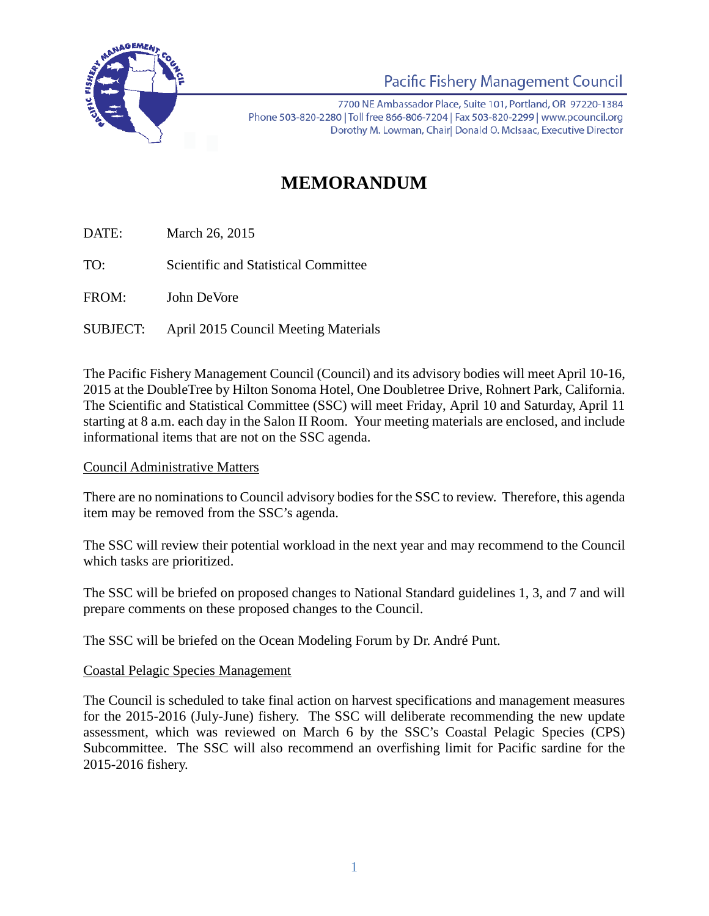

Pacific Fishery Management Council

7700 NE Ambassador Place, Suite 101, Portland, OR 97220-1384 Phone 503-820-2280 | Toll free 866-806-7204 | Fax 503-820-2299 | www.pcouncil.org Dorothy M. Lowman, Chairl Donald O. McIsaac, Executive Director

# **MEMORANDUM**

DATE: March 26, 2015

TO: Scientific and Statistical Committee

FROM: John DeVore

SUBJECT: April 2015 Council Meeting Materials

The Pacific Fishery Management Council (Council) and its advisory bodies will meet April 10-16, 2015 at the DoubleTree by Hilton Sonoma Hotel, One Doubletree Drive, Rohnert Park, California. The Scientific and Statistical Committee (SSC) will meet Friday, April 10 and Saturday, April 11 starting at 8 a.m. each day in the Salon II Room. Your meeting materials are enclosed, and include informational items that are not on the SSC agenda.

## Council Administrative Matters

There are no nominations to Council advisory bodies for the SSC to review. Therefore, this agenda item may be removed from the SSC's agenda.

The SSC will review their potential workload in the next year and may recommend to the Council which tasks are prioritized.

The SSC will be briefed on proposed changes to National Standard guidelines 1, 3, and 7 and will prepare comments on these proposed changes to the Council.

The SSC will be briefed on the Ocean Modeling Forum by Dr. André Punt.

#### Coastal Pelagic Species Management

The Council is scheduled to take final action on harvest specifications and management measures for the 2015-2016 (July-June) fishery. The SSC will deliberate recommending the new update assessment, which was reviewed on March 6 by the SSC's Coastal Pelagic Species (CPS) Subcommittee. The SSC will also recommend an overfishing limit for Pacific sardine for the 2015-2016 fishery.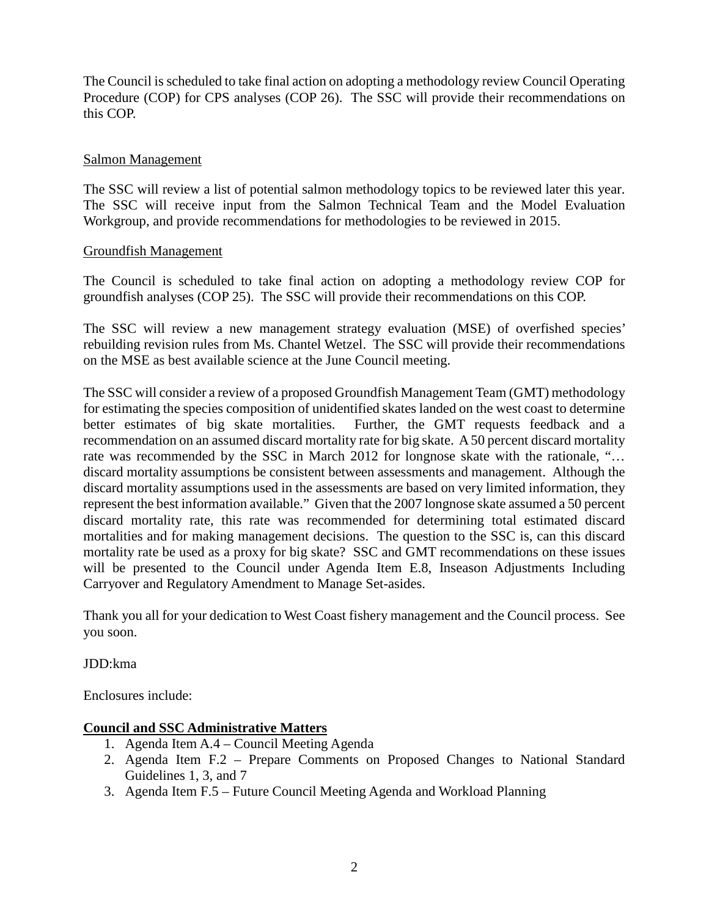The Council is scheduled to take final action on adopting a methodology review Council Operating Procedure (COP) for CPS analyses (COP 26). The SSC will provide their recommendations on this COP.

#### Salmon Management

The SSC will review a list of potential salmon methodology topics to be reviewed later this year. The SSC will receive input from the Salmon Technical Team and the Model Evaluation Workgroup, and provide recommendations for methodologies to be reviewed in 2015.

#### Groundfish Management

The Council is scheduled to take final action on adopting a methodology review COP for groundfish analyses (COP 25). The SSC will provide their recommendations on this COP.

The SSC will review a new management strategy evaluation (MSE) of overfished species' rebuilding revision rules from Ms. Chantel Wetzel. The SSC will provide their recommendations on the MSE as best available science at the June Council meeting.

The SSC will consider a review of a proposed Groundfish Management Team (GMT) methodology for estimating the species composition of unidentified skates landed on the west coast to determine better estimates of big skate mortalities. Further, the GMT requests feedback and a recommendation on an assumed discard mortality rate for big skate. A 50 percent discard mortality rate was recommended by the SSC in March 2012 for longnose skate with the rationale, "… discard mortality assumptions be consistent between assessments and management. Although the discard mortality assumptions used in the assessments are based on very limited information, they represent the best information available." Given that the 2007 longnose skate assumed a 50 percent discard mortality rate, this rate was recommended for determining total estimated discard mortalities and for making management decisions. The question to the SSC is, can this discard mortality rate be used as a proxy for big skate? SSC and GMT recommendations on these issues will be presented to the Council under Agenda Item E.8, Inseason Adjustments Including Carryover and Regulatory Amendment to Manage Set-asides.

Thank you all for your dedication to West Coast fishery management and the Council process. See you soon.

JDD:kma

Enclosures include:

## **Council and SSC Administrative Matters**

- 1. Agenda Item A.4 Council Meeting Agenda
- 2. Agenda Item F.2 Prepare Comments on Proposed Changes to National Standard Guidelines 1, 3, and 7
- 3. Agenda Item F.5 Future Council Meeting Agenda and Workload Planning